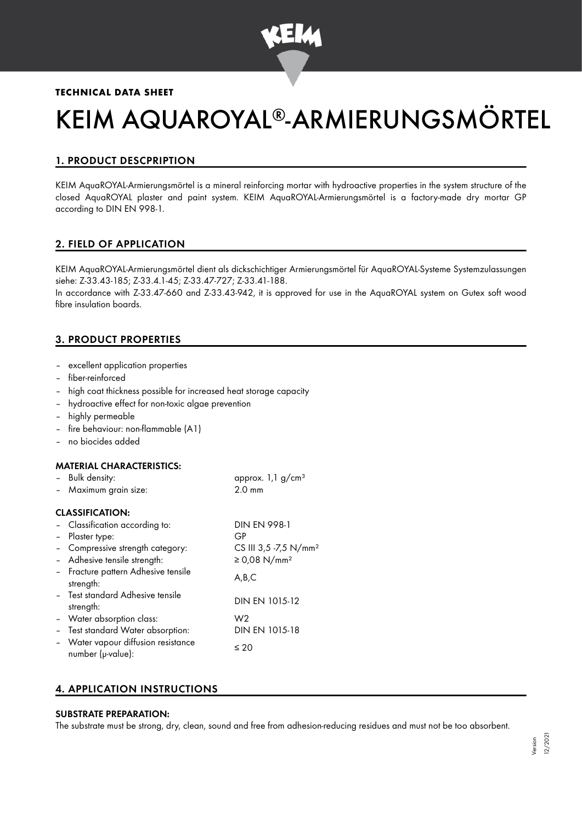

## **TECHNICAL DATA SHEET**

# KEIM AQUAROYAL®-ARMIERUNGSMÖRTEL

# 1. PRODUCT DESCPRIPTION

KEIM AquaROYAL-Armierungsmörtel is a mineral reinforcing mortar with hydroactive properties in the system structure of the closed AquaROYAL plaster and paint system. KEIM AquaROYAL-Armierungsmörtel is a factory-made dry mortar GP according to DIN EN 998-1.

# 2. FIELD OF APPLICATION

KEIM AquaROYAL-Armierungsmörtel dient als dickschichtiger Armierungsmörtel für AquaROYAL-Systeme Systemzulassungen siehe: Z-33.43-185; Z-33.4.1-45; Z-33.47-727; Z-33.41-188.

In accordance with Z-33.47-660 and Z-33.43-942, it is approved for use in the AquaROYAL system on Gutex soft wood fibre insulation boards.

# 3. PRODUCT PROPERTIES

- excellent application properties
- fiber-reinforced
- high coat thickness possible for increased heat storage capacity
- hydroactive effect for non-toxic algae prevention
- highly permeable
- fire behaviour: non-flammable (A1)
- no biocides added

#### MATERIAL CHARACTERISTICS:

| - Bulk density:       | approx. 1,1 g/cm <sup>3</sup> |
|-----------------------|-------------------------------|
| - Maximum grain size: | $2.0 \text{ mm}$              |

#### CLASSIFICATION:

| - Classification according to:                           | <b>DIN EN 998-1</b>               |
|----------------------------------------------------------|-----------------------------------|
| - Plaster type:                                          | GP                                |
| - Compressive strength category:                         | CS III 3,5 -7,5 N/mm <sup>2</sup> |
| - Adhesive tensile strength:                             | ≥ 0,08 N/mm <sup>2</sup>          |
| - Fracture pattern Adhesive tensile<br>strength:         | A,B,C                             |
| - Test standard Adhesive tensile<br>strength:            | DIN EN 1015-12                    |
| - Water absorption class:                                | W <sub>2</sub>                    |
| - Test standard Water absorption:                        | DIN EN 1015-18                    |
| - Water vapour diffusion resistance<br>number (µ-value): | $\leq 20$                         |

### 4. APPLICATION INSTRUCTIONS

#### SUBSTRATE PREPARATION:

The substrate must be strong, dry, clean, sound and free from adhesion-reducing residues and must not be too absorbent.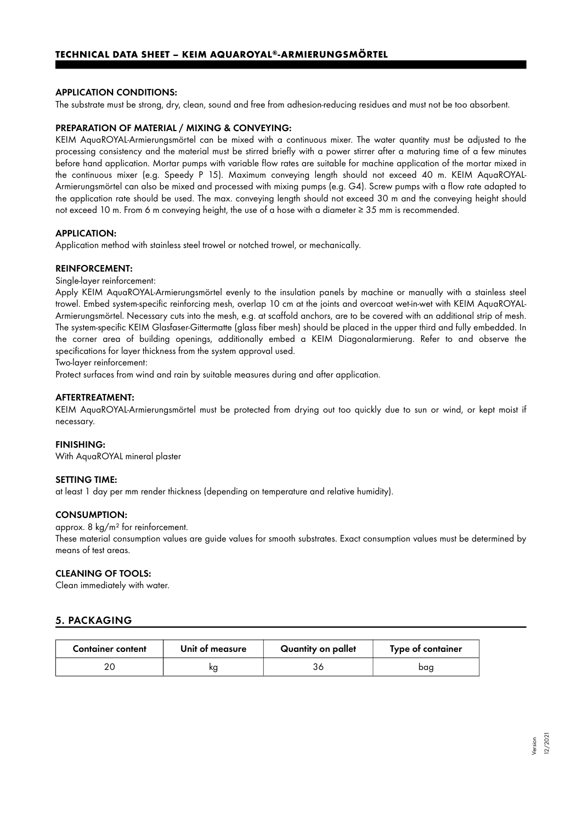#### APPLICATION CONDITIONS:

The substrate must be strong, dry, clean, sound and free from adhesion-reducing residues and must not be too absorbent.

#### PREPARATION OF MATERIAL / MIXING & CONVEYING:

KEIM AquaROYAL-Armierungsmörtel can be mixed with a continuous mixer. The water quantity must be adjusted to the processing consistency and the material must be stirred briefly with a power stirrer after a maturing time of a few minutes before hand application. Mortar pumps with variable flow rates are suitable for machine application of the mortar mixed in the continuous mixer (e.g. Speedy P 15). Maximum conveying length should not exceed 40 m. KEIM AquaROYAL-Armierungsmörtel can also be mixed and processed with mixing pumps (e.g. G4). Screw pumps with a flow rate adapted to the application rate should be used. The max. conveying length should not exceed 30 m and the conveying height should not exceed 10 m. From 6 m conveying height, the use of a hose with a diameter ≥ 35 mm is recommended.

#### APPLICATION:

Application method with stainless steel trowel or notched trowel, or mechanically.

#### REINFORCEMENT:

Single-layer reinforcement:

Apply KEIM AquaROYAL-Armierungsmörtel evenly to the insulation panels by machine or manually with a stainless steel trowel. Embed system-specific reinforcing mesh, overlap 10 cm at the joints and overcoat wet-in-wet with KEIM AquaROYAL-Armierungsmörtel. Necessary cuts into the mesh, e.g. at scaffold anchors, are to be covered with an additional strip of mesh. The system-specific KEIM Glasfaser-Gittermatte (glass fiber mesh) should be placed in the upper third and fully embedded. In the corner area of building openings, additionally embed a KEIM Diagonalarmierung. Refer to and observe the specifications for layer thickness from the system approval used.

Two-layer reinforcement:

Protect surfaces from wind and rain by suitable measures during and after application.

#### AFTERTREATMENT:

KEIM AquaROYAL-Armierungsmörtel must be protected from drying out too quickly due to sun or wind, or kept moist if necessary.

#### FINISHING:

With AquaROYAL mineral plaster

#### SETTING TIME:

at least 1 day per mm render thickness (depending on temperature and relative humidity).

#### CONSUMPTION:

approx. 8 kg/m² for reinforcement.

These material consumption values are guide values for smooth substrates. Exact consumption values must be determined by means of test areas.

#### CLEANING OF TOOLS:

Clean immediately with water.

# 5. PACKAGING

| <b>Container content</b> | Unit of measure | Quantity on pallet | Type of container |
|--------------------------|-----------------|--------------------|-------------------|
|                          | ĸg              |                    | baq               |